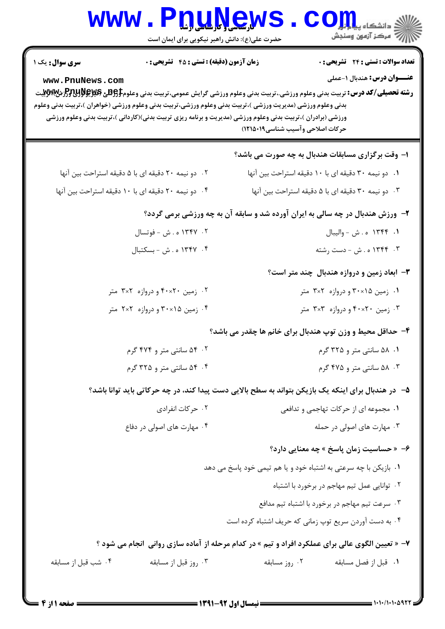|                                                                                                                                                                                                                                                                                                                                                                                                                                                  | www.PnuNews                                                                                        |                                                     | ران دانشڪاه پي <mark>ا ۽ اور</mark><br>ا∛ مرڪز آزمون وسنڊش |  |  |  |
|--------------------------------------------------------------------------------------------------------------------------------------------------------------------------------------------------------------------------------------------------------------------------------------------------------------------------------------------------------------------------------------------------------------------------------------------------|----------------------------------------------------------------------------------------------------|-----------------------------------------------------|------------------------------------------------------------|--|--|--|
|                                                                                                                                                                                                                                                                                                                                                                                                                                                  | حضرت علی(ع): دانش راهبر نیکویی برای ایمان است                                                      |                                                     |                                                            |  |  |  |
| <b>سری سوال :</b> یک ۱                                                                                                                                                                                                                                                                                                                                                                                                                           | <b>زمان آزمون (دقیقه) : تستی : 45 تشریحی : 0</b>                                                   |                                                     | <b>تعداد سوالات : تستی : 24 گشریحی : 0</b>                 |  |  |  |
| <b>عنـــوان درس:</b> هندبال ۱-عملی<br>www.PnuNews.com<br><b>رشته تحصیلی/کد درس:</b> تربیت بدنی وعلوم ورزشی.،تربیت بدنی وعلوم ورزشی گرایش عمومی،تربیت بدنی وعلوم9555 و PRUSH و PDV.<br>بدنی وعلوم ورزشی (مدیریت ورزشی )،تربیت بدنی وعلوم ورزشی،تربیت بدنی وعلوم ورزشی (خواهران )،تربیت بدنی وعلوم<br>ورزشی (برادران )،تربیت بدنی وعلوم ورزشی (مدیریت و برنامه ریزی تربیت بدنی)(کاردانی )،تربیت بدنی وعلوم ورزشی<br>حركات اصلاحى وآسيب شناسى١٩٠١٩) |                                                                                                    |                                                     |                                                            |  |  |  |
|                                                                                                                                                                                                                                                                                                                                                                                                                                                  |                                                                                                    |                                                     | ۱– وقت برگزاری مسابقات هندبال به چه صورت می باشد؟          |  |  |  |
|                                                                                                                                                                                                                                                                                                                                                                                                                                                  | ۰۲ دو نیمه ۲۰ دقیقه ای با ۵ دقیقه استراحت بین آنها                                                 | ۰۱ دو نیمه ۳۰ دقیقه ای با ۱۰ دقیقه استراحت بین آنها |                                                            |  |  |  |
|                                                                                                                                                                                                                                                                                                                                                                                                                                                  | ۰۴ دو نیمه ۲۰ دقیقه ای با ۱۰ دقیقه استراحت بین آنها                                                |                                                     | ۰۳ دو نیمه ۳۰ دقیقه ای با ۵ دقیقه استراحت بین آنها         |  |  |  |
| ۲- ورزش هندبال در چه سالی به ایران آورده شد و سابقه آن به چه ورزشی برمی گردد؟                                                                                                                                                                                                                                                                                                                                                                    |                                                                                                    |                                                     |                                                            |  |  |  |
|                                                                                                                                                                                                                                                                                                                                                                                                                                                  | ۰۲ ۱۳۴۷ ه . ش - فوتسال                                                                             |                                                     | ١. ١٣۴۴ ه . ش - واليبال                                    |  |  |  |
|                                                                                                                                                                                                                                                                                                                                                                                                                                                  | ۰۴ ۱۳۴۷ ه . ش - بسکتبال                                                                            | ۰۳ ـ ۱۳۴۴ ه . ش - دست رشته                          |                                                            |  |  |  |
|                                                                                                                                                                                                                                                                                                                                                                                                                                                  |                                                                                                    |                                                     | ۳- ابعاد زمین و دروازه هندبال چند متر است؟                 |  |  |  |
|                                                                                                                                                                                                                                                                                                                                                                                                                                                  | ۲. زمین ۴۰×۴۰ و دروازه ۲×۳ متر                                                                     | ۰۱ زمین ۲۰×۳۰ و دروازه ۲×۳ متر                      |                                                            |  |  |  |
|                                                                                                                                                                                                                                                                                                                                                                                                                                                  | ۰۴ زمین ۲۰×۳۰ و دروازه ۲×۲ متر                                                                     |                                                     | ۰۳ زمین ۴۰×۴۰ و دروازه ۳×۳ متر                             |  |  |  |
|                                                                                                                                                                                                                                                                                                                                                                                                                                                  |                                                                                                    |                                                     | ۴- حداقل محیط و وزن توپ هندبال برای خانم ها چقدر می باشد؟  |  |  |  |
|                                                                                                                                                                                                                                                                                                                                                                                                                                                  | ۰۲ ۴ سانتی متر و ۴۷۴ گرم                                                                           |                                                     | ۰۱. ۵۸ سانتی متر و ۳۲۵ گرم                                 |  |  |  |
|                                                                                                                                                                                                                                                                                                                                                                                                                                                  | ۰۴ ۴ سانتی متر و ۳۲۵ گرم                                                                           | ۰۳ ۸۸ سانتی متر و ۴۷۵ گرم                           |                                                            |  |  |  |
|                                                                                                                                                                                                                                                                                                                                                                                                                                                  | ۵– در هندبال برای اینکه یک بازیکن بتواند به سطح بالایی دست پیدا کند، در چه حرکاتی باید توانا باشد؟ |                                                     |                                                            |  |  |  |
|                                                                                                                                                                                                                                                                                                                                                                                                                                                  | ۰۲ حرکات انفرادی                                                                                   |                                                     | ۰۱ مجموعه ای از حرکات تهاجمی و تدافعی                      |  |  |  |
|                                                                                                                                                                                                                                                                                                                                                                                                                                                  | ۰۴ مهارت های اصولی در دفاع                                                                         |                                                     | ۰۳ مهارت های اصولی در حمله                                 |  |  |  |
|                                                                                                                                                                                                                                                                                                                                                                                                                                                  |                                                                                                    |                                                     | ۰۶ « حساسیت زمان پاسخ » چه معنایی دارد؟                    |  |  |  |
|                                                                                                                                                                                                                                                                                                                                                                                                                                                  | ۰۱ بازیکن با چه سرعتی به اشتباه خود و یا هم تیمی خود پاسخ می دهد                                   |                                                     |                                                            |  |  |  |
|                                                                                                                                                                                                                                                                                                                                                                                                                                                  |                                                                                                    |                                                     | ۰۲ توانایی عمل تیم مهاجم در برخورد با اشتباه               |  |  |  |
|                                                                                                                                                                                                                                                                                                                                                                                                                                                  |                                                                                                    |                                                     | ۰۳ سرعت تیم مهاجم در برخورد با اشتباه تیم مدافع            |  |  |  |
|                                                                                                                                                                                                                                                                                                                                                                                                                                                  |                                                                                                    |                                                     | ۰۴ به دست آوردن سریع توپ زمانی که حریف اشتباه کرده است     |  |  |  |
|                                                                                                                                                                                                                                                                                                                                                                                                                                                  | ۷- « تعیین الگوی عالی برای عملکرد افراد و تیم » در کدام مرحله از آماده سازی روانی  انجام می شود ؟  |                                                     |                                                            |  |  |  |
| ۰۴ شب قبل از مسابقه                                                                                                                                                                                                                                                                                                                                                                                                                              | ۰۳ روز قبل از مسابقه                                                                               | ۰۲ روز مسابقه                                       | ٠١ قبل از فصل مسابقه                                       |  |  |  |

صفحه 1 از 4 =

**= نیمسال اول 92-1391 <del>=</del>** 

 $= 1.1.111.0977$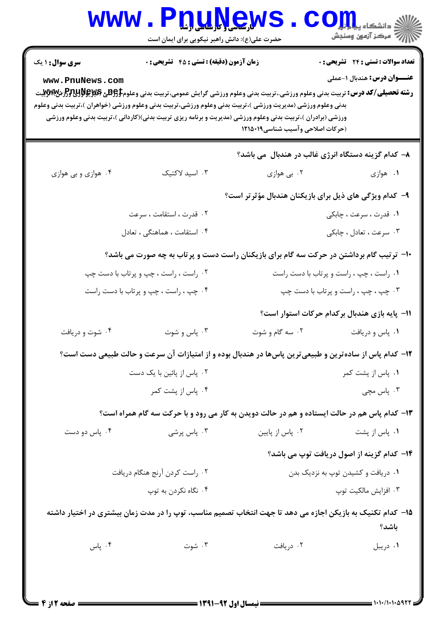| <b>WWW.</b>                                                                                                                                                                                                                                                                                            | <b>LÜNÜÖRR</b><br>حضرت علی(ع): دانش راهبر نیکویی برای ایمان است                                                                                          |                                                        | ڪ دانشڪاه پ <b>يا ۾ ٿو.<br/>∥<sup>7</sup> مرڪز آزمون وسنڊش</b>                    |
|--------------------------------------------------------------------------------------------------------------------------------------------------------------------------------------------------------------------------------------------------------------------------------------------------------|----------------------------------------------------------------------------------------------------------------------------------------------------------|--------------------------------------------------------|-----------------------------------------------------------------------------------|
| <b>سری سوال : ۱ یک</b><br>www.PnuNews.com<br><b>رشته تحصیلی/کد درس:</b> تربیت بدنی وعلوم ورزشی.،تربیت بدنی وعلوم ورزشی گرایش عمومی،تربیت بدنی وعلوم\$ <del>PU3</del> لاق&و\$PU3لرش&WWتيت<br>بدنی وعلوم ورزشی (مدیریت ورزشی )،تربیت بدنی وعلوم ورزشی،تربیت بدنی وعلوم ورزشی (خواهران )،تربیت بدنی وعلوم | زمان آزمون (دقیقه) : تستی : 45 آتشریحی : 0<br>ورزشی (برادران )،تربیت بدنی وعلوم ورزشی (مدیریت و برنامه ریزی تربیت بدنی)(کاردانی )،تربیت بدنی وعلوم ورزشی | (حركات اصلاحي وآسيب شناسي١٢١٥٠١٩                       | <b>تعداد سوالات : تستی : 24 گشریحی : 0</b><br><b>عنــــوان درس:</b> هندبال ۱-عملی |
|                                                                                                                                                                                                                                                                                                        |                                                                                                                                                          |                                                        | ۸– کدام گزینه دستگاه انرژی غالب در هندبال می باشد؟                                |
| ۰۴ هوازي و بي هوازي                                                                                                                                                                                                                                                                                    | ۰۳ اسید لاکتیک                                                                                                                                           | ۰۲ بی هوازی                                            | ۰۱ هوازي                                                                          |
|                                                                                                                                                                                                                                                                                                        |                                                                                                                                                          | ۹- کدام ویژگی های ذیل برای بازیکنان هندبال مؤثرتر است؟ |                                                                                   |
|                                                                                                                                                                                                                                                                                                        | ۰۲ قدرت ، استقامت ، سرعت                                                                                                                                 |                                                        | ۰۱ قدرت ، سرعت ، چابکی                                                            |
|                                                                                                                                                                                                                                                                                                        | ۴. استقامت ، هماهنگی ، تعادل                                                                                                                             |                                                        | ۰۳ سرعت ، تعادل ، چابکی                                                           |
|                                                                                                                                                                                                                                                                                                        | <b>۱۰</b> - ترتیب گام برداشتن در حرکت سه گام برای بازیکنان راست دست و پرتاب به چه صورت می باشد؟                                                          |                                                        |                                                                                   |
| ۰۲ راست ، راست ، چپ و پرتاب با دست چپ                                                                                                                                                                                                                                                                  |                                                                                                                                                          | ۰۱ راست ، چپ ، راست و پرتاب با دست راست                |                                                                                   |
| ۰۴ چپ ، راست ، چپ و پرتاب با دست راست                                                                                                                                                                                                                                                                  |                                                                                                                                                          | ۰۳ چپ ، چپ ، راست و پرتاب با دست چپ                    |                                                                                   |
|                                                                                                                                                                                                                                                                                                        |                                                                                                                                                          |                                                        | 1۱– پایه بازی هندبال برکدام حرکات استوار است؟                                     |
| ۰۴ شوت و دریافت                                                                                                                                                                                                                                                                                        | ۰۳ پاس و شوت                                                                                                                                             | ۰۲ سه گام و شوت                                        | ٠١ پاس و دريافت                                                                   |
|                                                                                                                                                                                                                                                                                                        | ۱۲– کدام پاس از سادهترین و طبیعیترین پاسها در هندبال بوده و از امتیازات آن سرعت و حالت طبیعی دست است؟                                                    |                                                        |                                                                                   |
| ۰۲ پاس از پائین با یک دست                                                                                                                                                                                                                                                                              |                                                                                                                                                          | ۰۱ پاس از پشت کمر                                      |                                                                                   |
|                                                                                                                                                                                                                                                                                                        | ۰۴ پاس از پشت کمر                                                                                                                                        |                                                        | ۰۳ پاس مچی                                                                        |
|                                                                                                                                                                                                                                                                                                        | ۱۳- کدام پاس هم در حالت ایستاده و هم در حالت دویدن به کار می رود و با حرکت سه گام همراه است؟                                                             |                                                        |                                                                                   |
| ۰۴ پاس دو دست                                                                                                                                                                                                                                                                                          | ۰۳ پاس پرشی                                                                                                                                              | ۰۲ پاس از پایین                                        | ۰۱ پاس از پشت                                                                     |
|                                                                                                                                                                                                                                                                                                        |                                                                                                                                                          |                                                        | ۱۴– کدام گزینه از اصول دریافت توپ می باشد؟                                        |
| ۰۲ راست کردن آرنج هنگام دریافت                                                                                                                                                                                                                                                                         |                                                                                                                                                          | ۰۱ دریافت و کشیدن توپ به نزدیک بدن                     |                                                                                   |
| ۰۴ نگاه نکردن به توپ                                                                                                                                                                                                                                                                                   |                                                                                                                                                          | ۰۳ افزايش مالكيت توپ                                   |                                                                                   |
|                                                                                                                                                                                                                                                                                                        | ۱۵– کدام تکنیک به بازیکن اجازه می دهد تا جهت انتخاب تصمیم مناسب، توپ را در مدت زمان بیشتری در اختیار داشته                                               |                                                        | باشد؟                                                                             |
| ۰۴ پاس                                                                                                                                                                                                                                                                                                 | ۰۳ شوت                                                                                                                                                   | ۰۲ دریافت                                              | ۰۱ دریبل                                                                          |
|                                                                                                                                                                                                                                                                                                        |                                                                                                                                                          |                                                        |                                                                                   |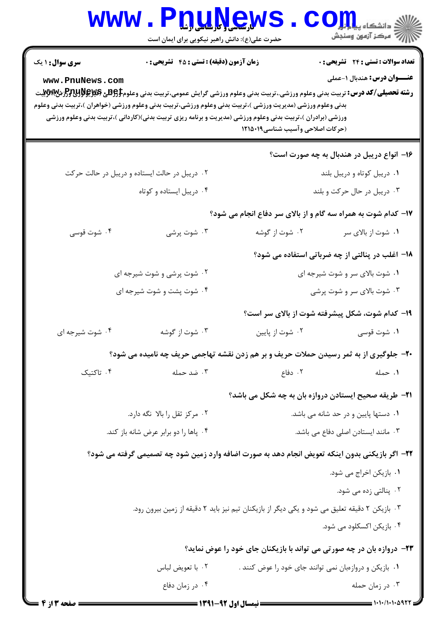|                                                                                                                                                                                                                                                                                                                                                                                                                                                                                                                                                                                  | www.PnuNew                                                                                     |                                                              |                                                 |  |  |  |
|----------------------------------------------------------------------------------------------------------------------------------------------------------------------------------------------------------------------------------------------------------------------------------------------------------------------------------------------------------------------------------------------------------------------------------------------------------------------------------------------------------------------------------------------------------------------------------|------------------------------------------------------------------------------------------------|--------------------------------------------------------------|-------------------------------------------------|--|--|--|
|                                                                                                                                                                                                                                                                                                                                                                                                                                                                                                                                                                                  | حضرت علی(ع): دانش راهبر نیکویی برای ایمان است                                                  |                                                              |                                                 |  |  |  |
| <b>زمان آزمون (دقیقه) : تستی : 45 قشریحی : 0</b><br><b>تعداد سوالات : تستی : 24 - تشریحی : 0</b><br><b>سری سوال : ۱ یک</b><br><b>عنــــوان درس:</b> هندبال ۱-عملی<br>www.PnuNews.com<br><b>رشته تحصیلی/کد درس:</b> تربیت بدنی وعلوم ورزشی.،تربیت بدنی وعلوم ورزشی گرایش عمومی،تربیت بدنی وعلوم\$BRU و PRHH و PHH<br>بدنی وعلوم ورزشی (مدیریت ورزشی )،تربیت بدنی وعلوم ورزشی،تربیت بدنی وعلوم ورزشی (خواهران )،تربیت بدنی وعلوم<br>ورزشی (برادران )،تربیت بدنی وعلوم ورزشی (مدیریت و برنامه ریزی تربیت بدنی)(کاردانی )،تربیت بدنی وعلوم ورزشی<br>(حركات اصلاحي وآسيب شناسي١٢١٥٠١٩ |                                                                                                |                                                              |                                                 |  |  |  |
|                                                                                                                                                                                                                                                                                                                                                                                                                                                                                                                                                                                  |                                                                                                |                                                              | ۱۶– انواع دریبل در هندبال به چه صورت است؟       |  |  |  |
|                                                                                                                                                                                                                                                                                                                                                                                                                                                                                                                                                                                  | ۰۲ دریبل در حالت ایستاده و دریبل در حالت حرکت                                                  | ۰۱ دریبل کوتاه و دریبل بلند                                  |                                                 |  |  |  |
|                                                                                                                                                                                                                                                                                                                                                                                                                                                                                                                                                                                  | ۰۴ دریبل ایستاده و کوتاه                                                                       | ۰۳ دریبل در حال حرکت و بلند                                  |                                                 |  |  |  |
| ۱۷- کدام شوت به همراه سه گام و از بالای سر دفاع انجام می شود؟                                                                                                                                                                                                                                                                                                                                                                                                                                                                                                                    |                                                                                                |                                                              |                                                 |  |  |  |
| ۰۴ شوت قوسی                                                                                                                                                                                                                                                                                                                                                                                                                                                                                                                                                                      | ۰۳ شوت پرشی                                                                                    | ۰۲ شوت از گوشه                                               | ۰۱ شوت از بالای سر                              |  |  |  |
|                                                                                                                                                                                                                                                                                                                                                                                                                                                                                                                                                                                  |                                                                                                |                                                              | ۱۸- اغلب در پنالتی از چه ضرباتی استفاده می شود؟ |  |  |  |
|                                                                                                                                                                                                                                                                                                                                                                                                                                                                                                                                                                                  | ۰۲ شوت پرشی و شوت شیرجه ای                                                                     |                                                              | ۰۱ شوت بالای سر و شوت شیرجه ای                  |  |  |  |
| ۰۴ شوت پشت و شوت شیرجه ای                                                                                                                                                                                                                                                                                                                                                                                                                                                                                                                                                        |                                                                                                | ۰۳ شوت بالای سر و شوت پرشی                                   |                                                 |  |  |  |
|                                                                                                                                                                                                                                                                                                                                                                                                                                                                                                                                                                                  |                                                                                                |                                                              | ۱۹- کدام شوت، شکل پیشرفته شوت از بالای سر است؟  |  |  |  |
| ۰۴ شوت شیرجه ای                                                                                                                                                                                                                                                                                                                                                                                                                                                                                                                                                                  | ۰۳ شوت از گوشه                                                                                 | ۰۲ شوت از پایین                                              | ۰۱ شوت قوسی                                     |  |  |  |
|                                                                                                                                                                                                                                                                                                                                                                                                                                                                                                                                                                                  | <b>۲۰</b> - جلوگیری از به ثمر رسیدن حملات حریف و بر هم زدن نقشه تهاجمی حریف چه نامیده می شود؟  |                                                              |                                                 |  |  |  |
| ۰۴ تاکتیک                                                                                                                                                                                                                                                                                                                                                                                                                                                                                                                                                                        | ۰۳ ضد حمله                                                                                     | ۰۲ دفاع                                                      | ٠١ حمله                                         |  |  |  |
|                                                                                                                                                                                                                                                                                                                                                                                                                                                                                                                                                                                  |                                                                                                | <b>۲۱</b> - طریقه صحیح ایستادن دروازه بان به چه شکل می باشد؟ |                                                 |  |  |  |
|                                                                                                                                                                                                                                                                                                                                                                                                                                                                                                                                                                                  | ۰۲ مرکز ثقل را بالا نگه دارد.                                                                  | ۰۱ دستها پایین و در حد شانه می باشد.                         |                                                 |  |  |  |
|                                                                                                                                                                                                                                                                                                                                                                                                                                                                                                                                                                                  | ۰۴ پاها را دو برابر عرض شانه باز کند.                                                          |                                                              | ۰۳ مانند ایستادن اصلی دفاع می باشد.             |  |  |  |
|                                                                                                                                                                                                                                                                                                                                                                                                                                                                                                                                                                                  | ۲۲– اگر بازیکنی بدون اینکه تعویض انجام دهد به صورت اضافه وارد زمین شود چه تصمیمی گرفته می شود؟ |                                                              |                                                 |  |  |  |
|                                                                                                                                                                                                                                                                                                                                                                                                                                                                                                                                                                                  |                                                                                                |                                                              | ۰۱ بازیکن اخراج می شود.                         |  |  |  |
|                                                                                                                                                                                                                                                                                                                                                                                                                                                                                                                                                                                  |                                                                                                |                                                              | ۰۲ پنالتی زده می شود.                           |  |  |  |
|                                                                                                                                                                                                                                                                                                                                                                                                                                                                                                                                                                                  | ۰۳ بازیکن ۲ دقیقه تعلیق می شود و یکی دیگر از بازیکنان تیم نیز باید ۲ دقیقه از زمین بیرون رود.  |                                                              |                                                 |  |  |  |
|                                                                                                                                                                                                                                                                                                                                                                                                                                                                                                                                                                                  |                                                                                                |                                                              | ۰۴ بازیکن اکسکلود می شود.                       |  |  |  |
|                                                                                                                                                                                                                                                                                                                                                                                                                                                                                                                                                                                  | ۲۳- دروازه بان در چه صورتی می تواند با بازیکنان جای خود را عوض نماید؟                          |                                                              |                                                 |  |  |  |
|                                                                                                                                                                                                                                                                                                                                                                                                                                                                                                                                                                                  | ٠١. بازیکن و دروازمبان نمی توانند جای خود را عوض کنند .<br>۰۲ با تعويض لباس                    |                                                              |                                                 |  |  |  |
|                                                                                                                                                                                                                                                                                                                                                                                                                                                                                                                                                                                  | ۰۴ در زمان دفاع                                                                                |                                                              | ۰۳ در زمان حمله                                 |  |  |  |
| صفحه ۱۳ از ۴                                                                                                                                                                                                                                                                                                                                                                                                                                                                                                                                                                     |                                                                                                | <b>ـــــــــــــ نیمسال اول 92-1391 ــــــــ</b>             |                                                 |  |  |  |